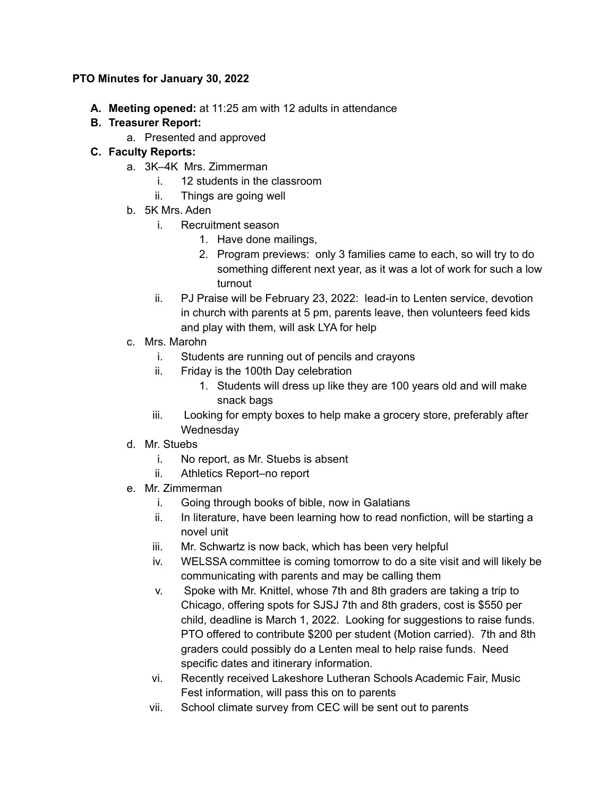#### **PTO Minutes for January 30, 2022**

**A. Meeting opened:** at 11:25 am with 12 adults in attendance

# **B. Treasurer Report:**

a. Presented and approved

# **C. Faculty Reports:**

- a. 3K–4K Mrs. Zimmerman
	- i. 12 students in the classroom
	- ii. Things are going well
- b. 5K Mrs. Aden
	- i. Recruitment season
		- 1. Have done mailings,
		- 2. Program previews: only 3 families came to each, so will try to do something different next year, as it was a lot of work for such a low turnout
	- ii. PJ Praise will be February 23, 2022: lead-in to Lenten service, devotion in church with parents at 5 pm, parents leave, then volunteers feed kids and play with them, will ask LYA for help
- c. Mrs. Marohn
	- i. Students are running out of pencils and crayons
	- ii. Friday is the 100th Day celebration
		- 1. Students will dress up like they are 100 years old and will make snack bags
	- iii. Looking for empty boxes to help make a grocery store, preferably after Wednesday
- d. Mr. Stuebs
	- i. No report, as Mr. Stuebs is absent
	- ii. Athletics Report–no report
- e. Mr. Zimmerman
	- i. Going through books of bible, now in Galatians
	- ii. In literature, have been learning how to read nonfiction, will be starting a novel unit
	- iii. Mr. Schwartz is now back, which has been very helpful
	- iv. WELSSA committee is coming tomorrow to do a site visit and will likely be communicating with parents and may be calling them
	- v. Spoke with Mr. Knittel, whose 7th and 8th graders are taking a trip to Chicago, offering spots for SJSJ 7th and 8th graders, cost is \$550 per child, deadline is March 1, 2022. Looking for suggestions to raise funds. PTO offered to contribute \$200 per student (Motion carried). 7th and 8th graders could possibly do a Lenten meal to help raise funds. Need specific dates and itinerary information.
	- vi. Recently received Lakeshore Lutheran Schools Academic Fair, Music Fest information, will pass this on to parents
	- vii. School climate survey from CEC will be sent out to parents